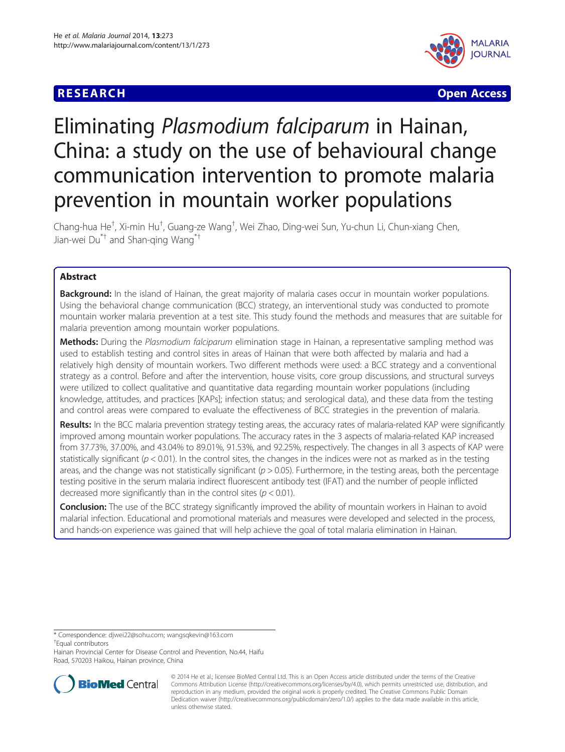# **RESEARCH CHINESE ARCH CHINESE ARCHITECT ARCHITECT ARCHITECT ARCHITECT ARCHITECT ARCHITECT ARCHITECT ARCHITECT ARCHITECT ARCHITECT ARCHITECT ARCHITECT ARCHITECT ARCHITECT ARCHITECT ARCHITECT ARCHITECT ARCHITECT ARCHITE**



# Eliminating Plasmodium falciparum in Hainan, China: a study on the use of behavioural change communication intervention to promote malaria prevention in mountain worker populations

Chang-hua He<sup>†</sup>, Xi-min Hu<sup>†</sup>, Guang-ze Wang<sup>†</sup>, Wei Zhao, Ding-wei Sun, Yu-chun Li, Chun-xiang Chen, Jian-wei Du\*† and Shan-qing Wang\*†

# Abstract

Background: In the island of Hainan, the great majority of malaria cases occur in mountain worker populations. Using the behavioral change communication (BCC) strategy, an interventional study was conducted to promote mountain worker malaria prevention at a test site. This study found the methods and measures that are suitable for malaria prevention among mountain worker populations.

Methods: During the Plasmodium falciparum elimination stage in Hainan, a representative sampling method was used to establish testing and control sites in areas of Hainan that were both affected by malaria and had a relatively high density of mountain workers. Two different methods were used: a BCC strategy and a conventional strategy as a control. Before and after the intervention, house visits, core group discussions, and structural surveys were utilized to collect qualitative and quantitative data regarding mountain worker populations (including knowledge, attitudes, and practices [KAPs]; infection status; and serological data), and these data from the testing and control areas were compared to evaluate the effectiveness of BCC strategies in the prevention of malaria.

Results: In the BCC malaria prevention strategy testing areas, the accuracy rates of malaria-related KAP were significantly improved among mountain worker populations. The accuracy rates in the 3 aspects of malaria-related KAP increased from 37.73%, 37.00%, and 43.04% to 89.01%, 91.53%, and 92.25%, respectively. The changes in all 3 aspects of KAP were statistically significant ( $p < 0.01$ ). In the control sites, the changes in the indices were not as marked as in the testing areas, and the change was not statistically significant ( $p > 0.05$ ). Furthermore, in the testing areas, both the percentage testing positive in the serum malaria indirect fluorescent antibody test (IFAT) and the number of people inflicted decreased more significantly than in the control sites ( $p < 0.01$ ).

Conclusion: The use of the BCC strategy significantly improved the ability of mountain workers in Hainan to avoid malarial infection. Educational and promotional materials and measures were developed and selected in the process, and hands-on experience was gained that will help achieve the goal of total malaria elimination in Hainan.

\* Correspondence: [djwei22@sohu.com;](mailto:djwei22@sohu.com) [wangsqkevin@163.com](mailto:wangsqkevin@163.com) † Equal contributors

Hainan Provincial Center for Disease Control and Prevention, No.44, Haifu Road, 570203 Haikou, Hainan province, China



© 2014 He et al.; licensee BioMed Central Ltd. This is an Open Access article distributed under the terms of the Creative Commons Attribution License [\(http://creativecommons.org/licenses/by/4.0\)](http://creativecommons.org/licenses/by/4.0), which permits unrestricted use, distribution, and reproduction in any medium, provided the original work is properly credited. The Creative Commons Public Domain Dedication waiver [\(http://creativecommons.org/publicdomain/zero/1.0/](http://creativecommons.org/publicdomain/zero/1.0/)) applies to the data made available in this article, unless otherwise stated.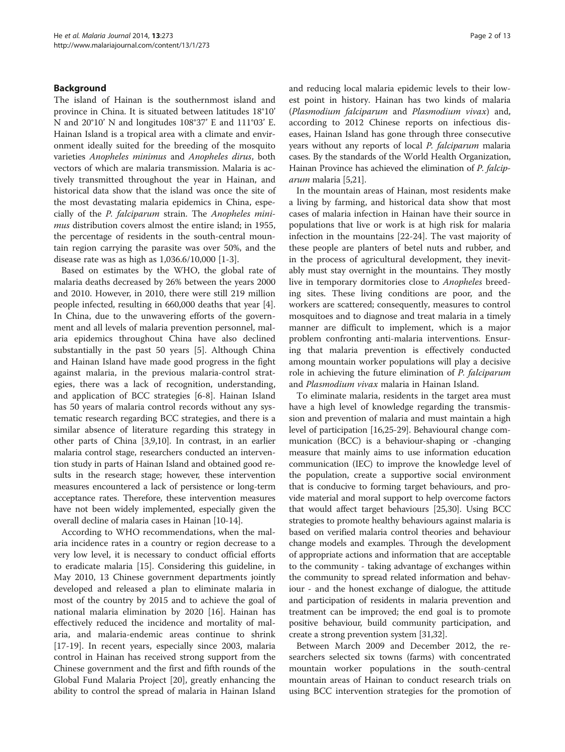## Background

The island of Hainan is the southernmost island and province in China. It is situated between latitudes 18°10' N and 20°10' N and longitudes 108°37' E and 111°03' E. Hainan Island is a tropical area with a climate and environment ideally suited for the breeding of the mosquito varieties Anopheles minimus and Anopheles dirus, both vectors of which are malaria transmission. Malaria is actively transmitted throughout the year in Hainan, and historical data show that the island was once the site of the most devastating malaria epidemics in China, especially of the P. falciparum strain. The Anopheles minimus distribution covers almost the entire island; in 1955, the percentage of residents in the south-central mountain region carrying the parasite was over 50%, and the disease rate was as high as 1,036.6/10,000 [\[1](#page-11-0)-[3\]](#page-11-0).

Based on estimates by the WHO, the global rate of malaria deaths decreased by 26% between the years 2000 and 2010. However, in 2010, there were still 219 million people infected, resulting in 660,000 deaths that year [\[4](#page-11-0)]. In China, due to the unwavering efforts of the government and all levels of malaria prevention personnel, malaria epidemics throughout China have also declined substantially in the past 50 years [[5\]](#page-11-0). Although China and Hainan Island have made good progress in the fight against malaria, in the previous malaria-control strategies, there was a lack of recognition, understanding, and application of BCC strategies [\[6](#page-11-0)-[8\]](#page-11-0). Hainan Island has 50 years of malaria control records without any systematic research regarding BCC strategies, and there is a similar absence of literature regarding this strategy in other parts of China [\[3,9,10](#page-11-0)]. In contrast, in an earlier malaria control stage, researchers conducted an intervention study in parts of Hainan Island and obtained good results in the research stage; however, these intervention measures encountered a lack of persistence or long-term acceptance rates. Therefore, these intervention measures have not been widely implemented, especially given the overall decline of malaria cases in Hainan [\[10-14\]](#page-11-0).

According to WHO recommendations, when the malaria incidence rates in a country or region decrease to a very low level, it is necessary to conduct official efforts to eradicate malaria [\[15](#page-11-0)]. Considering this guideline, in May 2010, 13 Chinese government departments jointly developed and released a plan to eliminate malaria in most of the country by 2015 and to achieve the goal of national malaria elimination by 2020 [\[16](#page-11-0)]. Hainan has effectively reduced the incidence and mortality of malaria, and malaria-endemic areas continue to shrink [[17-19](#page-11-0)]. In recent years, especially since 2003, malaria control in Hainan has received strong support from the Chinese government and the first and fifth rounds of the Global Fund Malaria Project [\[20](#page-11-0)], greatly enhancing the ability to control the spread of malaria in Hainan Island

and reducing local malaria epidemic levels to their lowest point in history. Hainan has two kinds of malaria (Plasmodium falciparum and Plasmodium vivax) and, according to 2012 Chinese reports on infectious diseases, Hainan Island has gone through three consecutive years without any reports of local P. falciparum malaria cases. By the standards of the World Health Organization, Hainan Province has achieved the elimination of P. falciparum malaria [[5,21](#page-11-0)].

In the mountain areas of Hainan, most residents make a living by farming, and historical data show that most cases of malaria infection in Hainan have their source in populations that live or work is at high risk for malaria infection in the mountains [\[22-24](#page-11-0)]. The vast majority of these people are planters of betel nuts and rubber, and in the process of agricultural development, they inevitably must stay overnight in the mountains. They mostly live in temporary dormitories close to Anopheles breeding sites. These living conditions are poor, and the workers are scattered; consequently, measures to control mosquitoes and to diagnose and treat malaria in a timely manner are difficult to implement, which is a major problem confronting anti-malaria interventions. Ensuring that malaria prevention is effectively conducted among mountain worker populations will play a decisive role in achieving the future elimination of P. falciparum and Plasmodium vivax malaria in Hainan Island.

To eliminate malaria, residents in the target area must have a high level of knowledge regarding the transmission and prevention of malaria and must maintain a high level of participation [[16,25-29](#page-11-0)]. Behavioural change communication (BCC) is a behaviour-shaping or -changing measure that mainly aims to use information education communication (IEC) to improve the knowledge level of the population, create a supportive social environment that is conducive to forming target behaviours, and provide material and moral support to help overcome factors that would affect target behaviours [\[25,30](#page-11-0)]. Using BCC strategies to promote healthy behaviours against malaria is based on verified malaria control theories and behaviour change models and examples. Through the development of appropriate actions and information that are acceptable to the community - taking advantage of exchanges within the community to spread related information and behaviour - and the honest exchange of dialogue, the attitude and participation of residents in malaria prevention and treatment can be improved; the end goal is to promote positive behaviour, build community participation, and create a strong prevention system [[31,32](#page-11-0)].

Between March 2009 and December 2012, the researchers selected six towns (farms) with concentrated mountain worker populations in the south-central mountain areas of Hainan to conduct research trials on using BCC intervention strategies for the promotion of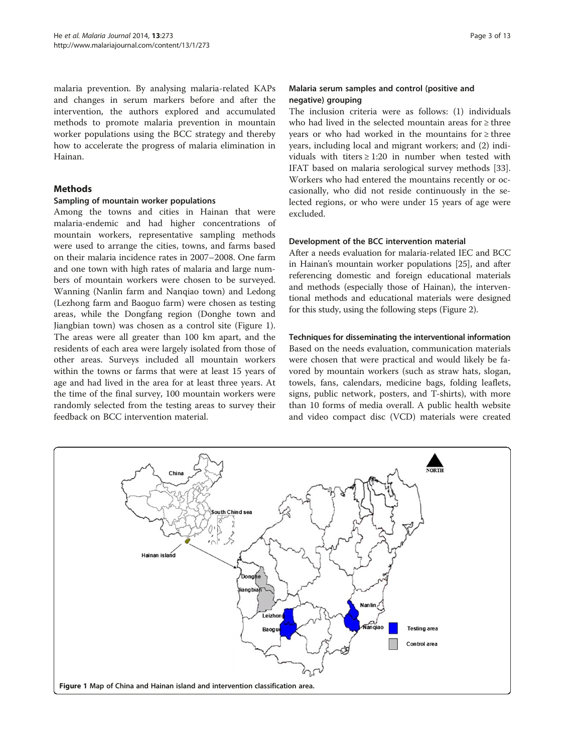malaria prevention. By analysing malaria-related KAPs and changes in serum markers before and after the intervention, the authors explored and accumulated methods to promote malaria prevention in mountain worker populations using the BCC strategy and thereby how to accelerate the progress of malaria elimination in Hainan.

# Methods

#### Sampling of mountain worker populations

Among the towns and cities in Hainan that were malaria-endemic and had higher concentrations of mountain workers, representative sampling methods were used to arrange the cities, towns, and farms based on their malaria incidence rates in 2007–2008. One farm and one town with high rates of malaria and large numbers of mountain workers were chosen to be surveyed. Wanning (Nanlin farm and Nanqiao town) and Ledong (Lezhong farm and Baoguo farm) were chosen as testing areas, while the Dongfang region (Donghe town and Jiangbian town) was chosen as a control site (Figure 1). The areas were all greater than 100 km apart, and the residents of each area were largely isolated from those of other areas. Surveys included all mountain workers within the towns or farms that were at least 15 years of age and had lived in the area for at least three years. At the time of the final survey, 100 mountain workers were randomly selected from the testing areas to survey their feedback on BCC intervention material.

# Malaria serum samples and control (positive and negative) grouping

The inclusion criteria were as follows: (1) individuals who had lived in the selected mountain areas for ≥ three years or who had worked in the mountains for ≥ three years, including local and migrant workers; and (2) individuals with titers  $\geq 1:20$  in number when tested with IFAT based on malaria serological survey methods [\[33](#page-12-0)]. Workers who had entered the mountains recently or occasionally, who did not reside continuously in the selected regions, or who were under 15 years of age were excluded.

### Development of the BCC intervention material

After a needs evaluation for malaria-related IEC and BCC in Hainan's mountain worker populations [\[25\]](#page-11-0), and after referencing domestic and foreign educational materials and methods (especially those of Hainan), the interventional methods and educational materials were designed for this study, using the following steps (Figure [2](#page-3-0)).

# Techniques for disseminating the interventional information

Based on the needs evaluation, communication materials were chosen that were practical and would likely be favored by mountain workers (such as straw hats, slogan, towels, fans, calendars, medicine bags, folding leaflets, signs, public network, posters, and T-shirts), with more than 10 forms of media overall. A public health website and video compact disc (VCD) materials were created

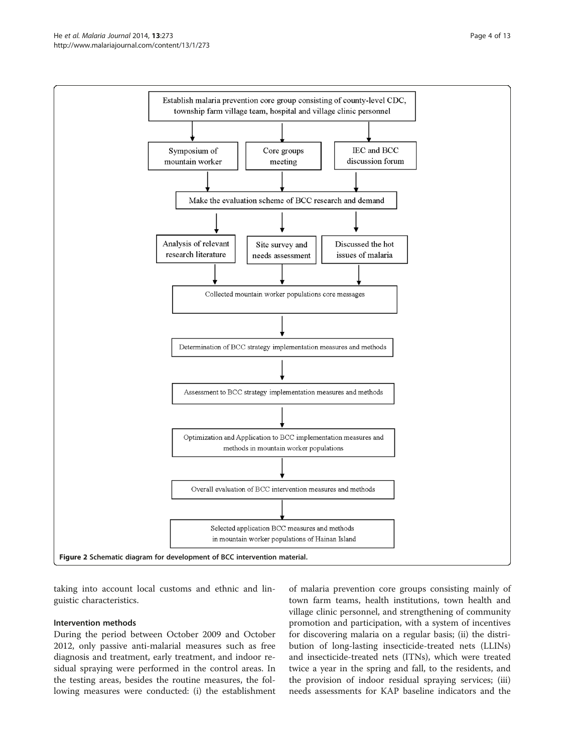<span id="page-3-0"></span>

taking into account local customs and ethnic and linguistic characteristics.

# Intervention methods

During the period between October 2009 and October 2012, only passive anti-malarial measures such as free diagnosis and treatment, early treatment, and indoor residual spraying were performed in the control areas. In the testing areas, besides the routine measures, the following measures were conducted: (i) the establishment of malaria prevention core groups consisting mainly of town farm teams, health institutions, town health and village clinic personnel, and strengthening of community promotion and participation, with a system of incentives for discovering malaria on a regular basis; (ii) the distribution of long-lasting insecticide-treated nets (LLINs) and insecticide-treated nets (ITNs), which were treated twice a year in the spring and fall, to the residents, and the provision of indoor residual spraying services; (iii) needs assessments for KAP baseline indicators and the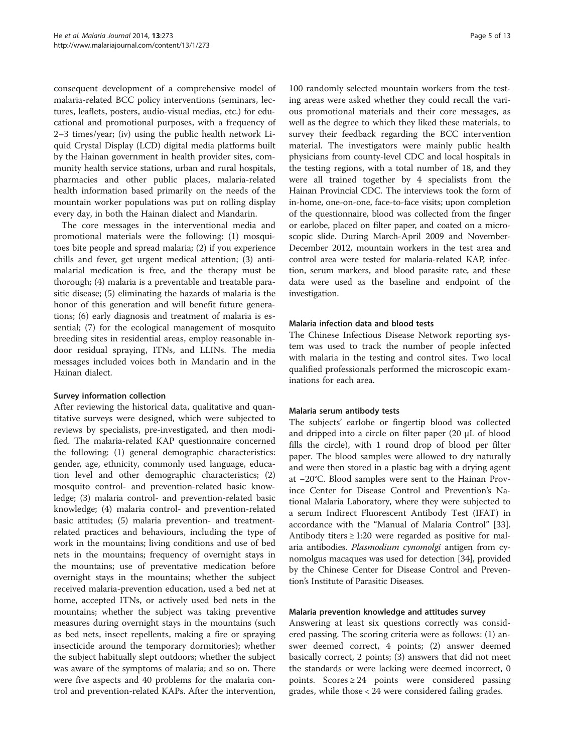consequent development of a comprehensive model of malaria-related BCC policy interventions (seminars, lectures, leaflets, posters, audio-visual medias, etc.) for educational and promotional purposes, with a frequency of 2–3 times/year; (iv) using the public health network Liquid Crystal Display (LCD) digital media platforms built by the Hainan government in health provider sites, community health service stations, urban and rural hospitals, pharmacies and other public places, malaria-related health information based primarily on the needs of the mountain worker populations was put on rolling display every day, in both the Hainan dialect and Mandarin.

The core messages in the interventional media and promotional materials were the following: (1) mosquitoes bite people and spread malaria; (2) if you experience chills and fever, get urgent medical attention; (3) antimalarial medication is free, and the therapy must be thorough; (4) malaria is a preventable and treatable parasitic disease; (5) eliminating the hazards of malaria is the honor of this generation and will benefit future generations; (6) early diagnosis and treatment of malaria is essential; (7) for the ecological management of mosquito breeding sites in residential areas, employ reasonable indoor residual spraying, ITNs, and LLINs. The media messages included voices both in Mandarin and in the Hainan dialect.

#### Survey information collection

After reviewing the historical data, qualitative and quantitative surveys were designed, which were subjected to reviews by specialists, pre-investigated, and then modified. The malaria-related KAP questionnaire concerned the following: (1) general demographic characteristics: gender, age, ethnicity, commonly used language, education level and other demographic characteristics; (2) mosquito control- and prevention-related basic knowledge; (3) malaria control- and prevention-related basic knowledge; (4) malaria control- and prevention-related basic attitudes; (5) malaria prevention- and treatmentrelated practices and behaviours, including the type of work in the mountains; living conditions and use of bed nets in the mountains; frequency of overnight stays in the mountains; use of preventative medication before overnight stays in the mountains; whether the subject received malaria-prevention education, used a bed net at home, accepted ITNs, or actively used bed nets in the mountains; whether the subject was taking preventive measures during overnight stays in the mountains (such as bed nets, insect repellents, making a fire or spraying insecticide around the temporary dormitories); whether the subject habitually slept outdoors; whether the subject was aware of the symptoms of malaria; and so on. There were five aspects and 40 problems for the malaria control and prevention-related KAPs. After the intervention,

100 randomly selected mountain workers from the testing areas were asked whether they could recall the various promotional materials and their core messages, as well as the degree to which they liked these materials, to survey their feedback regarding the BCC intervention material. The investigators were mainly public health physicians from county-level CDC and local hospitals in the testing regions, with a total number of 18, and they were all trained together by 4 specialists from the Hainan Provincial CDC. The interviews took the form of in-home, one-on-one, face-to-face visits; upon completion of the questionnaire, blood was collected from the finger or earlobe, placed on filter paper, and coated on a microscopic slide. During March-April 2009 and November-December 2012, mountain workers in the test area and control area were tested for malaria-related KAP, infection, serum markers, and blood parasite rate, and these data were used as the baseline and endpoint of the investigation.

### Malaria infection data and blood tests

The Chinese Infectious Disease Network reporting system was used to track the number of people infected with malaria in the testing and control sites. Two local qualified professionals performed the microscopic examinations for each area.

#### Malaria serum antibody tests

The subjects' earlobe or fingertip blood was collected and dripped into a circle on filter paper (20 μL of blood fills the circle), with 1 round drop of blood per filter paper. The blood samples were allowed to dry naturally and were then stored in a plastic bag with a drying agent at −20°C. Blood samples were sent to the Hainan Province Center for Disease Control and Prevention's National Malaria Laboratory, where they were subjected to a serum Indirect Fluorescent Antibody Test (IFAT) in accordance with the "Manual of Malaria Control" [\[33](#page-12-0)]. Antibody titers  $\geq 1:20$  were regarded as positive for malaria antibodies. Plasmodium cynomolgi antigen from cynomolgus macaques was used for detection [[34](#page-12-0)], provided by the Chinese Center for Disease Control and Prevention's Institute of Parasitic Diseases.

#### Malaria prevention knowledge and attitudes survey

Answering at least six questions correctly was considered passing. The scoring criteria were as follows: (1) answer deemed correct, 4 points; (2) answer deemed basically correct, 2 points; (3) answers that did not meet the standards or were lacking were deemed incorrect, 0 points. Scores  $\geq 24$  points were considered passing grades, while those < 24 were considered failing grades.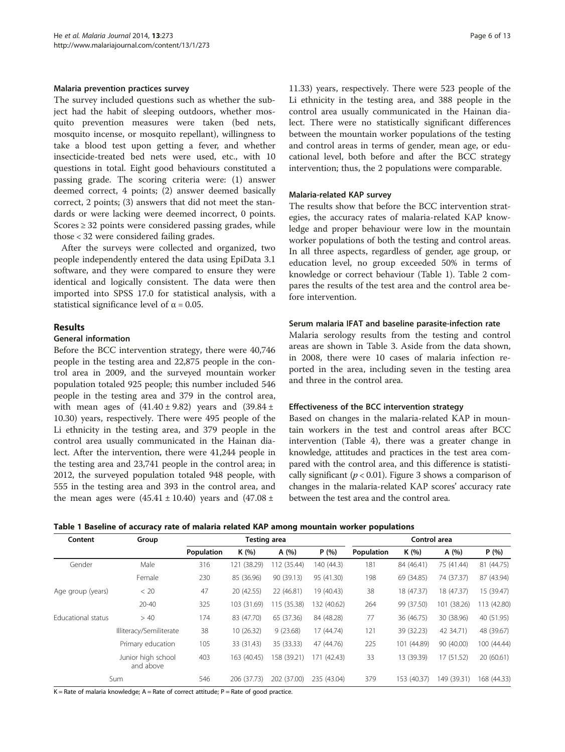#### Malaria prevention practices survey

The survey included questions such as whether the subject had the habit of sleeping outdoors, whether mosquito prevention measures were taken (bed nets, mosquito incense, or mosquito repellant), willingness to take a blood test upon getting a fever, and whether insecticide-treated bed nets were used, etc., with 10 questions in total. Eight good behaviours constituted a passing grade. The scoring criteria were: (1) answer deemed correct, 4 points; (2) answer deemed basically correct, 2 points; (3) answers that did not meet the standards or were lacking were deemed incorrect, 0 points. Scores  $\geq$  32 points were considered passing grades, while those < 32 were considered failing grades.

After the surveys were collected and organized, two people independently entered the data using EpiData 3.1 software, and they were compared to ensure they were identical and logically consistent. The data were then imported into SPSS 17.0 for statistical analysis, with a statistical significance level of  $\alpha$  = 0.05.

# Results

#### General information

Before the BCC intervention strategy, there were 40,746 people in the testing area and 22,875 people in the control area in 2009, and the surveyed mountain worker population totaled 925 people; this number included 546 people in the testing area and 379 in the control area, with mean ages of  $(41.40 \pm 9.82)$  years and  $(39.84 \pm$ 10.30) years, respectively. There were 495 people of the Li ethnicity in the testing area, and 379 people in the control area usually communicated in the Hainan dialect. After the intervention, there were 41,244 people in the testing area and 23,741 people in the control area; in 2012, the surveyed population totaled 948 people, with 555 in the testing area and 393 in the control area, and the mean ages were  $(45.41 \pm 10.40)$  years and  $(47.08 \pm 10.40)$ 

11.33) years, respectively. There were 523 people of the Li ethnicity in the testing area, and 388 people in the control area usually communicated in the Hainan dialect. There were no statistically significant differences between the mountain worker populations of the testing and control areas in terms of gender, mean age, or educational level, both before and after the BCC strategy intervention; thus, the 2 populations were comparable.

#### Malaria-related KAP survey

The results show that before the BCC intervention strategies, the accuracy rates of malaria-related KAP knowledge and proper behaviour were low in the mountain worker populations of both the testing and control areas. In all three aspects, regardless of gender, age group, or education level, no group exceeded 50% in terms of knowledge or correct behaviour (Table 1). Table [2](#page-6-0) compares the results of the test area and the control area before intervention.

### Serum malaria IFAT and baseline parasite-infection rate

Malaria serology results from the testing and control areas are shown in Table [3](#page-6-0). Aside from the data shown, in 2008, there were 10 cases of malaria infection reported in the area, including seven in the testing area and three in the control area.

# Effectiveness of the BCC intervention strategy

Based on changes in the malaria-related KAP in mountain workers in the test and control areas after BCC intervention (Table [4\)](#page-7-0), there was a greater change in knowledge, attitudes and practices in the test area compared with the control area, and this difference is statistically significant ( $p < 0.01$ ). Figure [3](#page-7-0) shows a comparison of changes in the malaria-related KAP scores' accuracy rate between the test area and the control area.

|  |  | Table 1 Baseline of accuracy rate of malaria related KAP among mountain worker populations |  |  |
|--|--|--------------------------------------------------------------------------------------------|--|--|
|--|--|--------------------------------------------------------------------------------------------|--|--|

| Content            | Group                           |            | Testing area |             |                | Control area |             |                |             |  |
|--------------------|---------------------------------|------------|--------------|-------------|----------------|--------------|-------------|----------------|-------------|--|
|                    |                                 | Population | K(%)         | A $(% )$    | P(% )          | Population   | K(%)        | A (%)          | P(%)        |  |
| Gender             | Male                            | 316        | 121 (38.29)  | 112 (35.44) | 140 (44.3)     | 181          | 84 (46.41)  | 75 (41.44)     | 81 (44.75)  |  |
|                    | Female                          | 230        | 85 (36.96)   | 90 (39.13)  | 95 (41.30)     | 198          | 69 (34.85)  | 74 (37.37)     | 87 (43.94)  |  |
| Age group (years)  | < 20                            | 47         | 20 (42.55)   | 22 (46.81)  | 19 (40.43)     | 38           | 18 (47.37)  | 18 (47.37)     | 15 (39.47)  |  |
|                    | $20 - 40$                       | 325        | 103 (31.69)  | 115 (35.38) | 132 (40.62)    | 264          | 99 (37.50)  | (38.26)<br>101 | 113 (42.80) |  |
| Educational status | > 40                            | 174        | 83 (47.70)   | 65 (37.36)  | 84 (48.28)     | 77           | 36 (46.75)  | 30 (38.96)     | 40 (51.95)  |  |
|                    | Illiteracy/Semiliterate         | 38         | 10(26.32)    | 9(23.68)    | 17 (44.74)     | 121          | 39 (32.23)  | 42 34.71)      | 48 (39.67)  |  |
|                    | Primary education               | 105        | 33 (31.43)   | 35 (33.33)  | 47 (44.76)     | 225          | 101 (44.89) | 90 (40.00)     | 100 (44.44) |  |
|                    | Junior high school<br>and above | 403        | 163 (40.45)  | 158 (39.21) | 171<br>(42.43) | 33           | 13 (39.39)  | 17 (51.52)     | 20(60.61)   |  |
|                    | Sum                             | 546        | 206 (37.73)  | 202 (37.00) | 235 (43.04)    | 379          | 153 (40.37) | 149 (39.31)    | 168 (44.33) |  |

 $K =$  Rate of malaria knowledge; A = Rate of correct attitude; P = Rate of good practice.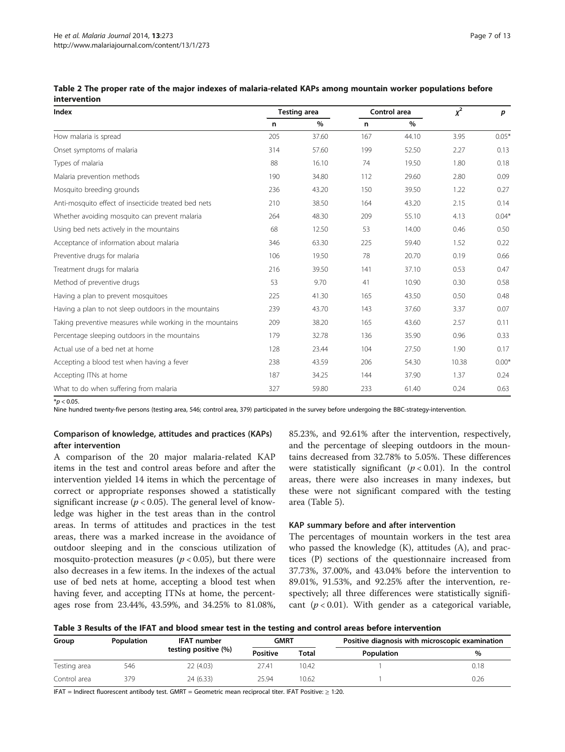| Index                                                     |     | <b>Testing area</b> |     | Control area | $\overline{x^2}$ | p       |
|-----------------------------------------------------------|-----|---------------------|-----|--------------|------------------|---------|
|                                                           | n   | %                   | n   | $\%$         |                  |         |
| How malaria is spread                                     | 205 | 37.60               | 167 | 44.10        | 3.95             | $0.05*$ |
| Onset symptoms of malaria                                 | 314 | 57.60               | 199 | 52.50        | 2.27             | 0.13    |
| Types of malaria                                          | 88  | 16.10               | 74  | 19.50        | 1.80             | 0.18    |
| Malaria prevention methods                                | 190 | 34.80               | 112 | 29.60        | 2.80             | 0.09    |
| Mosquito breeding grounds                                 | 236 | 43.20               | 150 | 39.50        | 1.22             | 0.27    |
| Anti-mosquito effect of insecticide treated bed nets      | 210 | 38.50               | 164 | 43.20        | 2.15             | 0.14    |
| Whether avoiding mosquito can prevent malaria             | 264 | 48.30               | 209 | 55.10        | 4.13             | $0.04*$ |
| Using bed nets actively in the mountains                  | 68  | 12.50               | 53  | 14.00        | 0.46             | 0.50    |
| Acceptance of information about malaria                   | 346 | 63.30               | 225 | 59.40        | 1.52             | 0.22    |
| Preventive drugs for malaria                              | 106 | 19.50               | 78  | 20.70        | 0.19             | 0.66    |
| Treatment drugs for malaria                               | 216 | 39.50               | 141 | 37.10        | 0.53             | 0.47    |
| Method of preventive drugs                                | 53  | 9.70                | 41  | 10.90        | 0.30             | 0.58    |
| Having a plan to prevent mosquitoes                       | 225 | 41.30               | 165 | 43.50        | 0.50             | 0.48    |
| Having a plan to not sleep outdoors in the mountains      | 239 | 43.70               | 143 | 37.60        | 3.37             | 0.07    |
| Taking preventive measures while working in the mountains | 209 | 38.20               | 165 | 43.60        | 2.57             | 0.11    |
| Percentage sleeping outdoors in the mountains             | 179 | 32.78               | 136 | 35.90        | 0.96             | 0.33    |
| Actual use of a bed net at home                           | 128 | 23.44               | 104 | 27.50        | 1.90             | 0.17    |
| Accepting a blood test when having a fever                | 238 | 43.59               | 206 | 54.30        | 10.38            | $0.00*$ |
| Accepting ITNs at home                                    | 187 | 34.25               | 144 | 37.90        | 1.37             | 0.24    |
| What to do when suffering from malaria                    | 327 | 59.80               | 233 | 61.40        | 0.24             | 0.63    |

<span id="page-6-0"></span>

| Table 2 The proper rate of the major indexes of malaria-related KAPs among mountain worker populations before |  |
|---------------------------------------------------------------------------------------------------------------|--|
| <i>intervention</i>                                                                                           |  |

 $*_{p}$  < 0.05.

Nine hundred twenty-five persons (testing area, 546; control area, 379) participated in the survey before undergoing the BBC-strategy-intervention.

# Comparison of knowledge, attitudes and practices (KAPs) after intervention

A comparison of the 20 major malaria-related KAP items in the test and control areas before and after the intervention yielded 14 items in which the percentage of correct or appropriate responses showed a statistically significant increase ( $p < 0.05$ ). The general level of knowledge was higher in the test areas than in the control areas. In terms of attitudes and practices in the test areas, there was a marked increase in the avoidance of outdoor sleeping and in the conscious utilization of mosquito-protection measures ( $p < 0.05$ ), but there were also decreases in a few items. In the indexes of the actual use of bed nets at home, accepting a blood test when having fever, and accepting ITNs at home, the percentages rose from 23.44%, 43.59%, and 34.25% to 81.08%,

85.23%, and 92.61% after the intervention, respectively, and the percentage of sleeping outdoors in the mountains decreased from 32.78% to 5.05%. These differences were statistically significant  $(p < 0.01)$ . In the control areas, there were also increases in many indexes, but these were not significant compared with the testing area (Table [5\)](#page-8-0).

#### KAP summary before and after intervention

The percentages of mountain workers in the test area who passed the knowledge (K), attitudes (A), and practices (P) sections of the questionnaire increased from 37.73%, 37.00%, and 43.04% before the intervention to 89.01%, 91.53%, and 92.25% after the intervention, respectively; all three differences were statistically significant  $(p < 0.01)$ . With gender as a categorical variable,

| Table 3 Results of the IFAT and blood smear test in the testing and control areas before intervention |  |  |
|-------------------------------------------------------------------------------------------------------|--|--|
|-------------------------------------------------------------------------------------------------------|--|--|

| Group        | <b>Population</b> | <b>IFAT number</b>   | <b>GMRT</b>     |       | Positive diagnosis with microscopic examination |      |  |
|--------------|-------------------|----------------------|-----------------|-------|-------------------------------------------------|------|--|
|              |                   | testing positive (%) | <b>Positive</b> | Total | Population                                      | $\%$ |  |
| Testing area | 546               | 22 (4.03)            | 27.41           | 10.42 |                                                 | 0.18 |  |
| Control area | 379               | 24 (6.33)            | 25.94           | 10.62 |                                                 | 0.26 |  |

IFAT = Indirect fluorescent antibody test. GMRT = Geometric mean reciprocal titer. IFAT Positive: ≥ 1:20.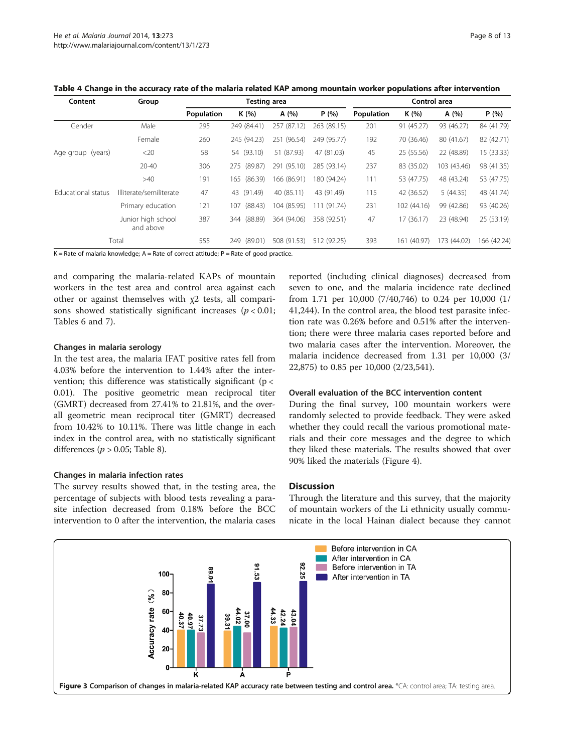<span id="page-7-0"></span>

| Content                   | Group                           |            | <b>Testing area</b> |             |             |            | Control area |             |             |
|---------------------------|---------------------------------|------------|---------------------|-------------|-------------|------------|--------------|-------------|-------------|
|                           |                                 | Population | K (%)               | A (%)       | P(% )       | Population | K(%)         | A (%)       | P(%)        |
| Gender                    | Male                            | 295        | 249 (84.41)         | 257 (87.12) | 263 (89.15) | 201        | 91 (45.27)   | 93 (46.27)  | 84 (41.79)  |
|                           | Female                          | 260        | 245 (94.23)         | 251 (96.54) | 249 (95.77) | 192        | 70 (36.46)   | 80 (41.67)  | 82 (42.71)  |
| Age group (years)         | <20                             | 58         | 54 (93.10)          | 51 (87.93)  | 47 (81.03)  | 45         | 25 (55.56)   | 22 (48.89)  | 15 (33.33)  |
|                           | $20 - 40$                       | 306        | 275 (89.87)         | 291 (95.10) | 285 (93.14) | 237        | 83 (35.02)   | 103 (43.46) | 98 (41.35)  |
|                           | >40                             | 191        | 165 (86.39)         | 166 (86.91) | 180 (94.24) | 111        | 53 (47.75)   | 48 (43.24)  | 53 (47.75)  |
| <b>Educational status</b> | Illiterate/semiliterate         | 47         | 43 (91.49)          | 40 (85.11)  | 43 (91.49)  | 115        | 42 (36.52)   | 5(44.35)    | 48 (41.74)  |
|                           | Primary education               | 121        | (88.43)<br>107      | 104 (85.95) | 111 (91.74) | 231        | 102 (44.16)  | 99 (42.86)  | 93 (40.26)  |
|                           | Junior high school<br>and above | 387        | 344 (88.89)         | 364 (94.06) | 358 (92.51) | 47         | 17(36.17)    | 23 (48.94)  | 25 (53.19)  |
|                           | Total                           | 555        | (89.01)<br>249      | 508 (91.53) | 512 (92.25) | 393        | 161 (40.97)  | 173 (44.02) | 166 (42.24) |

 $K =$  Rate of malaria knowledge; A = Rate of correct attitude; P = Rate of good practice.

and comparing the malaria-related KAPs of mountain workers in the test area and control area against each other or against themselves with χ2 tests, all comparisons showed statistically significant increases ( $p < 0.01$ ; Tables [6](#page-8-0) and [7](#page-9-0)).

#### Changes in malaria serology

In the test area, the malaria IFAT positive rates fell from 4.03% before the intervention to 1.44% after the intervention; this difference was statistically significant ( $p <$ 0.01). The positive geometric mean reciprocal titer (GMRT) decreased from 27.41% to 21.81%, and the overall geometric mean reciprocal titer (GMRT) decreased from 10.42% to 10.11%. There was little change in each index in the control area, with no statistically significant differences ( $p > 0.05$ ; Table [8](#page-9-0)).

#### Changes in malaria infection rates

The survey results showed that, in the testing area, the percentage of subjects with blood tests revealing a parasite infection decreased from 0.18% before the BCC intervention to 0 after the intervention, the malaria cases reported (including clinical diagnoses) decreased from seven to one, and the malaria incidence rate declined from 1.71 per 10,000 (7/40,746) to 0.24 per 10,000 (1/ 41,244). In the control area, the blood test parasite infection rate was 0.26% before and 0.51% after the intervention; there were three malaria cases reported before and two malaria cases after the intervention. Moreover, the malaria incidence decreased from 1.31 per 10,000 (3/ 22,875) to 0.85 per 10,000 (2/23,541).

#### Overall evaluation of the BCC intervention content

During the final survey, 100 mountain workers were randomly selected to provide feedback. They were asked whether they could recall the various promotional materials and their core messages and the degree to which they liked these materials. The results showed that over 90% liked the materials (Figure [4\)](#page-10-0).

# **Discussion**

Through the literature and this survey, that the majority of mountain workers of the Li ethnicity usually communicate in the local Hainan dialect because they cannot

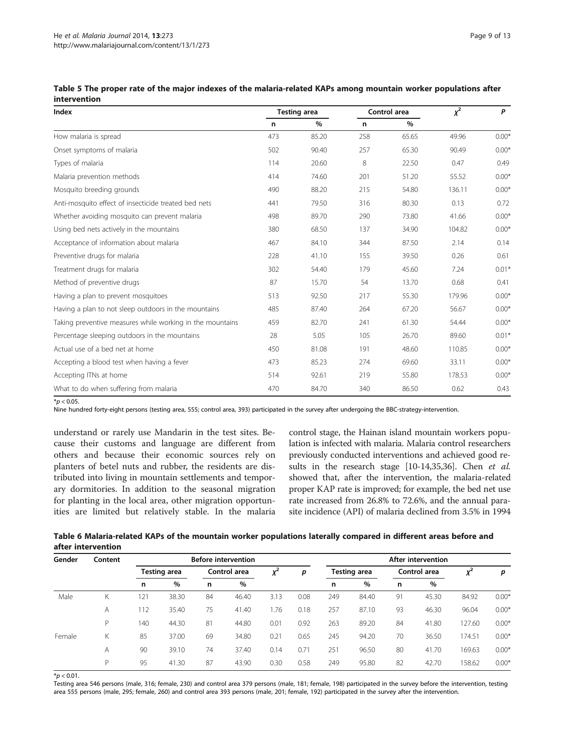| Index                                                     |     | <b>Testing area</b> |     | Control area | $\chi^2$ | P       |  |
|-----------------------------------------------------------|-----|---------------------|-----|--------------|----------|---------|--|
|                                                           | n   | %                   | n   | $\%$         |          |         |  |
| How malaria is spread                                     | 473 | 85.20               | 258 | 65.65        | 49.96    | $0.00*$ |  |
| Onset symptoms of malaria                                 | 502 | 90.40               | 257 | 65.30        | 90.49    | $0.00*$ |  |
| Types of malaria                                          | 114 | 20.60               | 8   | 22.50        | 0.47     | 0.49    |  |
| Malaria prevention methods                                | 414 | 74.60               | 201 | 51.20        | 55.52    | $0.00*$ |  |
| Mosquito breeding grounds                                 | 490 | 88.20               | 215 | 54.80        | 136.11   | $0.00*$ |  |
| Anti-mosquito effect of insecticide treated bed nets      | 441 | 79.50               | 316 | 80.30        | 0.13     | 0.72    |  |
| Whether avoiding mosquito can prevent malaria             | 498 | 89.70               | 290 | 73.80        | 41.66    | $0.00*$ |  |
| Using bed nets actively in the mountains                  | 380 | 68.50               | 137 | 34.90        | 104.82   | $0.00*$ |  |
| Acceptance of information about malaria                   | 467 | 84.10               | 344 | 87.50        | 2.14     | 0.14    |  |
| Preventive drugs for malaria                              | 228 | 41.10               | 155 | 39.50        | 0.26     | 0.61    |  |
| Treatment drugs for malaria                               | 302 | 54.40               | 179 | 45.60        | 7.24     | $0.01*$ |  |
| Method of preventive drugs                                | 87  | 15.70               | 54  | 13.70        | 0.68     | 0.41    |  |
| Having a plan to prevent mosquitoes                       | 513 | 92.50               | 217 | 55.30        | 179.96   | $0.00*$ |  |
| Having a plan to not sleep outdoors in the mountains      | 485 | 87.40               | 264 | 67.20        | 56.67    | $0.00*$ |  |
| Taking preventive measures while working in the mountains | 459 | 82.70               | 241 | 61.30        | 54.44    | $0.00*$ |  |
| Percentage sleeping outdoors in the mountains             | 28  | 5.05                | 105 | 26.70        | 89.60    | $0.01*$ |  |
| Actual use of a bed net at home                           | 450 | 81.08               | 191 | 48.60        | 110.85   | $0.00*$ |  |
| Accepting a blood test when having a fever                | 473 | 85.23               | 274 | 69.60        | 33.11    | $0.00*$ |  |
| Accepting ITNs at home                                    | 514 | 92.61               | 219 | 55.80        | 178.53   | $0.00*$ |  |
| What to do when suffering from malaria                    | 470 | 84.70               | 340 | 86.50        | 0.62     | 0.43    |  |

<span id="page-8-0"></span>Table 5 The proper rate of the major indexes of the malaria-related KAPs among mountain worker populations after intervention

 $*_{p}$  < 0.05. Nine hundred forty-eight persons (testing area, 555; control area, 393) participated in the survey after undergoing the BBC-strategy-intervention.

understand or rarely use Mandarin in the test sites. Because their customs and language are different from others and because their economic sources rely on planters of betel nuts and rubber, the residents are distributed into living in mountain settlements and temporary dormitories. In addition to the seasonal migration for planting in the local area, other migration opportunities are limited but relatively stable. In the malaria control stage, the Hainan island mountain workers population is infected with malaria. Malaria control researchers previously conducted interventions and achieved good results in the research stage [\[10](#page-11-0)-[14](#page-11-0)[,35,36\]](#page-12-0). Chen et al. showed that, after the intervention, the malaria-related proper KAP rate is improved; for example, the bed net use rate increased from 26.8% to 72.6%, and the annual parasite incidence (API) of malaria declined from 3.5% in 1994

| Table 6 Malaria-related KAPs of the mountain worker populations laterally compared in different areas before and |  |  |
|------------------------------------------------------------------------------------------------------------------|--|--|
| after intervention                                                                                               |  |  |

| Gender | Content | <b>Before intervention</b> |              |    |              |      |      | After intervention |              |    |              |        |         |
|--------|---------|----------------------------|--------------|----|--------------|------|------|--------------------|--------------|----|--------------|--------|---------|
|        |         |                            | Testing area |    | Control area |      | р    |                    | Testing area |    | Control area |        | p       |
|        |         | n                          | %            | n  | $\%$         |      |      | n                  | $\%$         | n  | %            |        |         |
| Male   | Κ       | 121                        | 38.30        | 84 | 46.40        | 3.13 | 0.08 | 249                | 84.40        | 91 | 45.30        | 84.92  | $0.00*$ |
|        | A       | 112                        | 35.40        | 75 | 41.40        | .76  | 0.18 | 257                | 87.10        | 93 | 46.30        | 96.04  | $0.00*$ |
|        | P       | 140                        | 44.30        | 81 | 44.80        | 0.01 | 0.92 | 263                | 89.20        | 84 | 41.80        | 127.60 | $0.00*$ |
| Female | Κ       | 85                         | 37.00        | 69 | 34.80        | 0.21 | 0.65 | 245                | 94.20        | 70 | 36.50        | 174.51 | $0.00*$ |
|        | A       | 90                         | 39.10        | 74 | 37.40        | 0.14 | 0.71 | 251                | 96.50        | 80 | 41.70        | 169.63 | $0.00*$ |
|        | P       | 95                         | 41.30        | 87 | 43.90        | 0.30 | 0.58 | 249                | 95.80        | 82 | 42.70        | 158.62 | $0.00*$ |

 $*$ *p* < 0.01.

Testing area 546 persons (male, 316; female, 230) and control area 379 persons (male, 181; female, 198) participated in the survey before the intervention, testing area 555 persons (male, 295; female, 260) and control area 393 persons (male, 201; female, 192) participated in the survey after the intervention.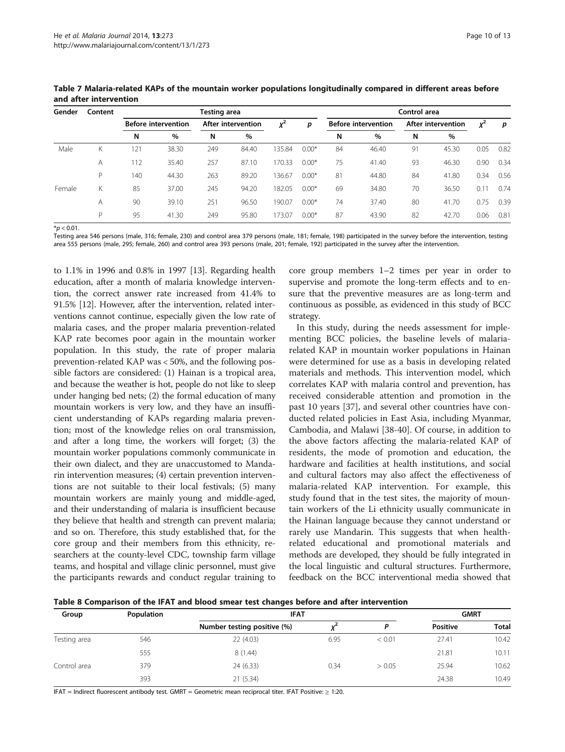| Gender | Content |     |                            | Testing area |                    | Control area |         |    |                            |    |                    |      |      |
|--------|---------|-----|----------------------------|--------------|--------------------|--------------|---------|----|----------------------------|----|--------------------|------|------|
|        |         |     | <b>Before intervention</b> |              | After intervention | $\chi$       | р       |    | <b>Before intervention</b> |    | After intervention |      | p    |
|        |         | N   | $\%$                       | N            | $\%$               |              |         | N  | $\%$                       | N  | $\%$               |      |      |
| Male   | К       | 121 | 38.30                      | 249          | 84.40              | 135.84       | $0.00*$ | 84 | 46.40                      | 91 | 45.30              | 0.05 | 0.82 |
|        | A       | 112 | 35.40                      | 257          | 87.10              | 170.33       | $0.00*$ | 75 | 41.40                      | 93 | 46.30              | 0.90 | 0.34 |
|        | D       | 140 | 44.30                      | 263          | 89.20              | 136.67       | $0.00*$ | 81 | 44.80                      | 84 | 41.80              | 0.34 | 0.56 |
| Female | Κ       | 85  | 37.00                      | 245          | 94.20              | 182.05       | $0.00*$ | 69 | 34.80                      | 70 | 36.50              | 0.11 | 0.74 |
|        | A       | 90  | 39.10                      | 251          | 96.50              | 190.07       | $0.00*$ | 74 | 37.40                      | 80 | 41.70              | 0.75 | 0.39 |
|        |         | 95  | 41.30                      | 249          | 95.80              | 173.07       | $0.00*$ | 87 | 43.90                      | 82 | 42.70              | 0.06 | 0.81 |

<span id="page-9-0"></span>Table 7 Malaria-related KAPs of the mountain worker populations longitudinally compared in different areas before and after intervention

 $*$ *p* < 0.01.

Testing area 546 persons (male, 316; female, 230) and control area 379 persons (male, 181; female, 198) participated in the survey before the intervention, testing area 555 persons (male, 295; female, 260) and control area 393 persons (male, 201; female, 192) participated in the survey after the intervention.

to 1.1% in 1996 and 0.8% in 1997 [\[13\]](#page-11-0). Regarding health education, after a month of malaria knowledge intervention, the correct answer rate increased from 41.4% to 91.5% [[12](#page-11-0)]. However, after the intervention, related interventions cannot continue, especially given the low rate of malaria cases, and the proper malaria prevention-related KAP rate becomes poor again in the mountain worker population. In this study, the rate of proper malaria prevention-related KAP was < 50%, and the following possible factors are considered: (1) Hainan is a tropical area, and because the weather is hot, people do not like to sleep under hanging bed nets; (2) the formal education of many mountain workers is very low, and they have an insufficient understanding of KAPs regarding malaria prevention; most of the knowledge relies on oral transmission, and after a long time, the workers will forget; (3) the mountain worker populations commonly communicate in their own dialect, and they are unaccustomed to Mandarin intervention measures; (4) certain prevention interventions are not suitable to their local festivals; (5) many mountain workers are mainly young and middle-aged, and their understanding of malaria is insufficient because they believe that health and strength can prevent malaria; and so on. Therefore, this study established that, for the core group and their members from this ethnicity, researchers at the county-level CDC, township farm village teams, and hospital and village clinic personnel, must give the participants rewards and conduct regular training to

core group members 1–2 times per year in order to supervise and promote the long-term effects and to ensure that the preventive measures are as long-term and continuous as possible, as evidenced in this study of BCC strategy.

In this study, during the needs assessment for implementing BCC policies, the baseline levels of malariarelated KAP in mountain worker populations in Hainan were determined for use as a basis in developing related materials and methods. This intervention model, which correlates KAP with malaria control and prevention, has received considerable attention and promotion in the past 10 years [[37\]](#page-12-0), and several other countries have conducted related policies in East Asia, including Myanmar, Cambodia, and Malawi [[38-40\]](#page-12-0). Of course, in addition to the above factors affecting the malaria-related KAP of residents, the mode of promotion and education, the hardware and facilities at health institutions, and social and cultural factors may also affect the effectiveness of malaria-related KAP intervention. For example, this study found that in the test sites, the majority of mountain workers of the Li ethnicity usually communicate in the Hainan language because they cannot understand or rarely use Mandarin. This suggests that when healthrelated educational and promotional materials and methods are developed, they should be fully integrated in the local linguistic and cultural structures. Furthermore, feedback on the BCC interventional media showed that

Table 8 Comparison of the IFAT and blood smear test changes before and after intervention

| Group        | Population | <b>IFAT</b>                 |      |        | <b>GMRT</b>     |              |
|--------------|------------|-----------------------------|------|--------|-----------------|--------------|
|              |            | Number testing positive (%) |      | D      | <b>Positive</b> | <b>Total</b> |
| Testing area | 546        | 22 (4.03)                   | 6.95 | < 0.01 | 27.41           | 10.42        |
|              | 555        | 8(1.44)                     |      |        | 21.81           | 10.11        |
| Control area | 379        | 24 (6.33)                   | 0.34 | > 0.05 | 25.94           | 10.62        |
|              | 393        | 21 (5.34)                   |      |        | 24.38           | 10.49        |

IFAT = Indirect fluorescent antibody test. GMRT = Geometric mean reciprocal titer. IFAT Positive: ≥ 1:20.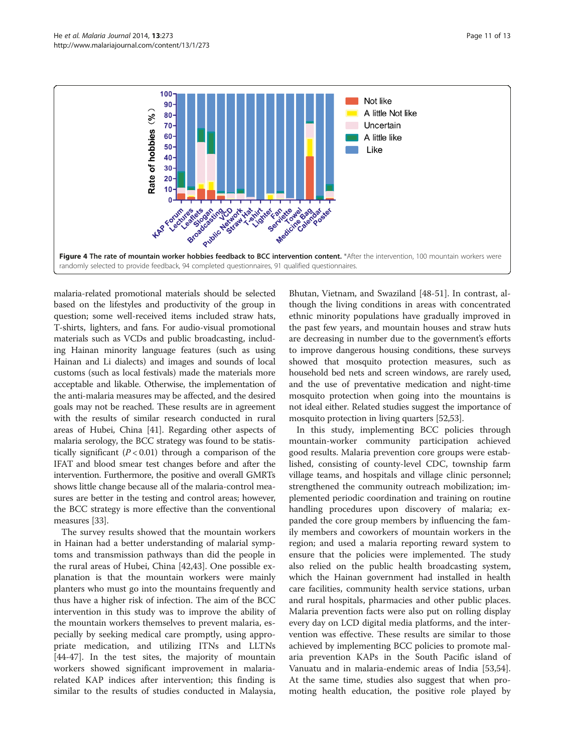<span id="page-10-0"></span>

malaria-related promotional materials should be selected based on the lifestyles and productivity of the group in question; some well-received items included straw hats, T-shirts, lighters, and fans. For audio-visual promotional materials such as VCDs and public broadcasting, including Hainan minority language features (such as using Hainan and Li dialects) and images and sounds of local customs (such as local festivals) made the materials more acceptable and likable. Otherwise, the implementation of the anti-malaria measures may be affected, and the desired goals may not be reached. These results are in agreement with the results of similar research conducted in rural areas of Hubei, China [[41\]](#page-12-0). Regarding other aspects of malaria serology, the BCC strategy was found to be statistically significant  $(P < 0.01)$  through a comparison of the IFAT and blood smear test changes before and after the intervention. Furthermore, the positive and overall GMRTs shows little change because all of the malaria-control measures are better in the testing and control areas; however, the BCC strategy is more effective than the conventional measures [[33](#page-12-0)].

The survey results showed that the mountain workers in Hainan had a better understanding of malarial symptoms and transmission pathways than did the people in the rural areas of Hubei, China [\[42,43](#page-12-0)]. One possible explanation is that the mountain workers were mainly planters who must go into the mountains frequently and thus have a higher risk of infection. The aim of the BCC intervention in this study was to improve the ability of the mountain workers themselves to prevent malaria, especially by seeking medical care promptly, using appropriate medication, and utilizing ITNs and LLTNs [[44-47](#page-12-0)]. In the test sites, the majority of mountain workers showed significant improvement in malariarelated KAP indices after intervention; this finding is similar to the results of studies conducted in Malaysia,

Bhutan, Vietnam, and Swaziland [\[48](#page-12-0)-[51](#page-12-0)]. In contrast, although the living conditions in areas with concentrated ethnic minority populations have gradually improved in the past few years, and mountain houses and straw huts are decreasing in number due to the government's efforts to improve dangerous housing conditions, these surveys showed that mosquito protection measures, such as household bed nets and screen windows, are rarely used, and the use of preventative medication and night-time mosquito protection when going into the mountains is not ideal either. Related studies suggest the importance of mosquito protection in living quarters [[52,53\]](#page-12-0).

In this study, implementing BCC policies through mountain-worker community participation achieved good results. Malaria prevention core groups were established, consisting of county-level CDC, township farm village teams, and hospitals and village clinic personnel; strengthened the community outreach mobilization; implemented periodic coordination and training on routine handling procedures upon discovery of malaria; expanded the core group members by influencing the family members and coworkers of mountain workers in the region; and used a malaria reporting reward system to ensure that the policies were implemented. The study also relied on the public health broadcasting system, which the Hainan government had installed in health care facilities, community health service stations, urban and rural hospitals, pharmacies and other public places. Malaria prevention facts were also put on rolling display every day on LCD digital media platforms, and the intervention was effective. These results are similar to those achieved by implementing BCC policies to promote malaria prevention KAPs in the South Pacific island of Vanuatu and in malaria-endemic areas of India [\[53,54](#page-12-0)]. At the same time, studies also suggest that when promoting health education, the positive role played by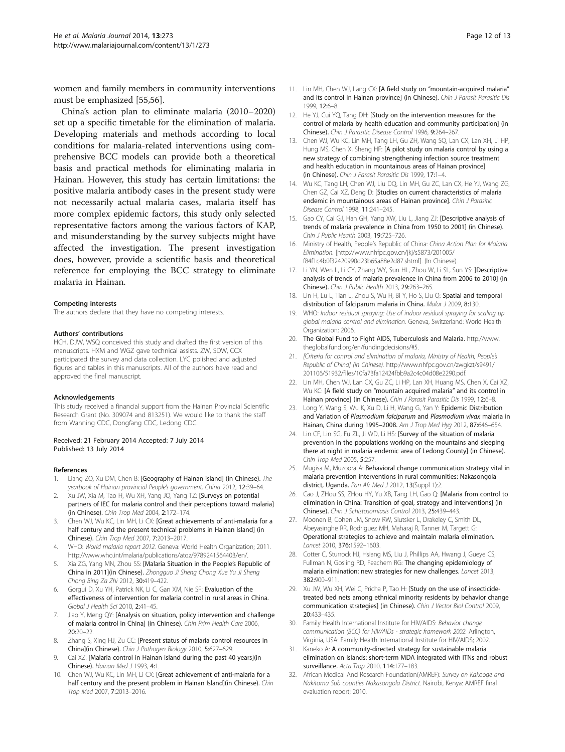<span id="page-11-0"></span>women and family members in community interventions must be emphasized [\[55,56](#page-12-0)].

China's action plan to eliminate malaria (2010–2020) set up a specific timetable for the elimination of malaria. Developing materials and methods according to local conditions for malaria-related interventions using comprehensive BCC models can provide both a theoretical basis and practical methods for eliminating malaria in Hainan. However, this study has certain limitations: the positive malaria antibody cases in the present study were not necessarily actual malaria cases, malaria itself has more complex epidemic factors, this study only selected representative factors among the various factors of KAP, and misunderstanding by the survey subjects might have affected the investigation. The present investigation does, however, provide a scientific basis and theoretical reference for employing the BCC strategy to eliminate malaria in Hainan.

#### Competing interests

The authors declare that they have no competing interests.

#### Authors' contributions

HCH, DJW, WSQ conceived this study and drafted the first version of this manuscripts. HXM and WGZ gave technical assists. ZW, SDW, CCX participated the survey and data collection. LYC polished and adjusted figures and tables in this manuscripts. All of the authors have read and approved the final manuscript.

#### Acknowledgements

This study received a financial support from the Hainan Provincial Scientific Research Grant (No. 309074 and 813251). We would like to thank the staff from Wanning CDC, Dongfang CDC, Ledong CDC.

#### Received: 21 February 2014 Accepted: 7 July 2014 Published: 13 July 2014

#### References

- Liang ZQ, Xu DM, Chen B: [Geography of Hainan island] (in Chinese). The yearbook of Hainan provincial People's government, China 2012, 12:39–64.
- Xu JW, Xia M, Tao H, Wu XH, Yang JQ, Yang TZ: [Surveys on potential partners of IEC for malaria control and their perceptions toward malaria] (in Chinese). Chin Trop Med 2004, 2:172–174.
- 3. Chen WJ, Wu KC, Lin MH, Li CX: [Great achievements of anti-malaria for a half century and the present technical problems in Hainan Island] (in Chinese). Chin Trop Med 2007, 7:2013–2017.
- WHO: World malaria report 2012. Geneva: World Health Organization; 2011. [http://www.who.int/malaria/publications/atoz/9789241564403/en/.](http://www.who.int/malaria/publications/atoz/9789241564403/en/)
- Xia ZG, Yang MN, Zhou SS: [Malaria Situation in the People's Republic of China in 2011](in Chinese). Zhongguo Ji Sheng Chong Xue Yu Ji Sheng Chong Bing Za Zhi 2012, 30:419–422.
- Gorgui D, Xu YH, Patrick NK, Li C, Gan XM, Nie SF: Evaluation of the effectiveness of intervention for malaria control in rural areas in China. Global J Health Sci 2010, 2:41–45.
- 7. Jiao Y, Meng QY: [Analysis on situation, policy intervention and challenge of malaria control in China] (in Chinese). Chin Prim Health Care 2006, 20:20–22.
- 8. Zhang S, Xing HJ, Zu CC: [Present status of malaria control resources in China](in Chinese). Chin J Pathogen Biology 2010, 5:627–629.
- 9. Cai XZ: [Malaria control in Hainan island during the past 40 years](in Chinese). Hainan Med J 1993, 4:1.
- 10. Chen WJ, Wu KC, Lin MH, Li CX: [Great achievement of anti-malaria for a half century and the present problem in Hainan Island](in Chinese). Chin Trop Med 2007, 7:2013–2016.
- 11. Lin MH, Chen WJ, Lang CX: [A field study on "mountain-acquired malaria" and its control in Hainan province] (in Chinese). Chin J Parasit Parasitic Dis 1999, 12:6–8.
- 12. He YJ, Cui YQ, Tang DH: [Study on the intervention measures for the control of malaria by health education and community participation] (in Chinese). Chin J Parasitic Disease Control 1996, 9:264–267.
- 13. Chen WJ, Wu KC, Lin MH, Tang LH, Gu ZH, Wang SQ, Lan CX, Lan XH, Li HP, Hung MS, Chen X, Sheng HF: [A pilot study on malaria control by using a new strategy of combining strengthening infection source treatment and health education in mountainous areas of Hainan province] (in Chinese). Chin J Parasit Parasitic Dis 1999, 17:1–4.
- 14. Wu KC, Tang LH, Chen WJ, Liu DQ, Lin MH, Gu ZC, Lan CX, He YJ, Wang ZG, Chen GZ, Cai XZ, Deng D: [Studies on current characteristics of malaria endemic in mountainous areas of Hainan province]. Chin J Parasitic Disease Control 1998, 11:241–245.
- 15. Gao CY, Cai GJ, Han GH, Yang XW, Liu L, Jiang ZJ: [Descriptive analysis of trends of malaria prevalence in China from 1950 to 2001] (in Chinese). Chin J Public Health 2003, 19:725–726.
- 16. Ministry of Health, People's Republic of China: China Action Plan for Malaria Elimination. [[http://www.nhfpc.gov.cn/jkj/s5873/201005/](http://www.nhfpc.gov.cn/jkj/s5873/201005/f84f1c4b0f32420990d23b65a88e2d87.shtml) [f84f1c4b0f32420990d23b65a88e2d87.shtml](http://www.nhfpc.gov.cn/jkj/s5873/201005/f84f1c4b0f32420990d23b65a88e2d87.shtml)]. (In Chinese).
- 17. Li YN, Wen L, Li CY, Zhang WY, Sun HL, Zhou W, Li SL, Sun YS: JDescriptive analysis of trends of malaria prevalence in China from 2006 to 2010] (in Chinese). Chin J Public Health 2013, 29:263–265.
- 18. Lin H, Lu L, Tian L, Zhou S, Wu H, Bi Y, Ho S, Liu Q: Spatial and temporal distribution of falciparum malaria in China. Malar J 2009, 8:130.
- 19. WHO: Indoor residual spraying: Use of indoor residual spraying for scaling up global malaria control and elimination. Geneva, Switzerland: World Health Organization; 2006.
- 20. The Global Fund to Fight AIDS, Tuberculosis and Malaria. [http://www.](http://www.theglobalfund.org/en/fundingdecisions/#5) [theglobalfund.org/en/fundingdecisions/#5.](http://www.theglobalfund.org/en/fundingdecisions/#5)
- 21. [Criteria for control and elimination of malaria, Ministry of Health, People's Republic of China] (in Chinese). [http://www.nhfpc.gov.cn/zwgkzt/s9491/](http://www.nhfpc.gov.cn/zwgkzt/s9491/201106/51932/files/10fa73fa12424fbb9a2c4c04d08e2290.pdf) [201106/51932/files/10fa73fa12424fbb9a2c4c04d08e2290.pdf.](http://www.nhfpc.gov.cn/zwgkzt/s9491/201106/51932/files/10fa73fa12424fbb9a2c4c04d08e2290.pdf)
- 22. Lin MH, Chen WJ, Lan CX, Gu ZC, Li HP, Lan XH, Huang MS, Chen X, Cai XZ, Wu KC: [A field study on "mountain acquired malaria" and its control in Hainan province] (in Chinese). Chin J Parasit Parasitic Dis 1999, 12:6-8.
- 23. Long Y, Wang S, Wu K, Xu D, Li H, Wang G, Yan Y: Epidemic Distribution and Variation of Plasmodium falciparum and Plasmodium vivax malaria in Hainan, China during 1995–2008. Am J Trop Med Hyg 2012, 87:646–654.
- 24. Lin CF, Lin SG, Fu ZL, Ji WD, Li HS: [Survey of the situation of malaria prevention in the populations working on the mountains and sleeping there at night in malaria endemic area of Ledong County] (in Chinese). Chin Trop Med 2005, 5:257.
- 25. Mugisa M, Muzoora A: Behavioral change communication strategy vital in malaria prevention interventions in rural communities: Nakasongola district, Uganda. Pan Afr Med J 2012, 13(Suppl 1):2.
- 26. Cao J, ZHou SS, ZHou HY, Yu XB, Tang LH, Gao Q: [Malaria from control to elimination in China: Transition of goal, strategy and interventions] (in Chinese). Chin J Schistosomiasis Control 2013, 25:439–443.
- 27. Moonen B, Cohen JM, Snow RW, Slutsker L, Drakeley C, Smith DL, Abeyasinghe RR, Rodriguez MH, Maharaj R, Tanner M, Targett G: Operational strategies to achieve and maintain malaria elimination. Lancet 2010, 376:1592–1603.
- 28. Cotter C, Sturrock HJ, Hsiang MS, Liu J, Phillips AA, Hwang J, Gueye CS, Fullman N, Gosling RD, Feachem RG: The changing epidemiology of malaria elimination: new strategies for new challenges. Lancet 2013, 382:900–911.
- 29. Xu JW, Wu XH, Wei C, Pricha P, Tao H: [Study on the use of insecticidetreated bed nets among ethnical minority residents by behavior change communication strategies] (in Chinese). Chin J Vector Biol Control 2009, 20:433–435.
- 30. Family Health International Institute for HIV/AIDS: Behavior change communication (BCC) for HIV/AIDs - strategic framework 2002. Arlington, Virginia, USA: Family Health International Institute for HIV/AIDS; 2002.
- 31. Kaneko A: A community-directed strategy for sustainable malaria elimination on islands: short-term MDA integrated with ITNs and robust surveillance. Acta Trop 2010, 114:177–183.
- 32. African Medical And Research Foundation(AMREF): Survey on Kakooge and Nakitoma Sub counties Nakasongola District. Nairobi, Kenya: AMREF final evaluation report; 2010.